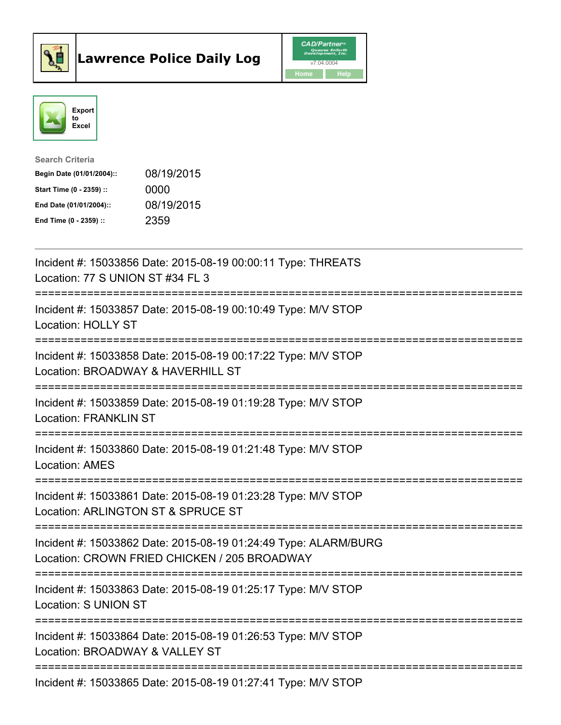



| <b>Search Criteria</b>    |            |
|---------------------------|------------|
| Begin Date (01/01/2004):: | 08/19/2015 |
| Start Time (0 - 2359) ::  | 0000       |
| End Date (01/01/2004)::   | 08/19/2015 |
| End Time $(0 - 2359)$ :   | 2359       |

| Incident #: 15033856 Date: 2015-08-19 00:00:11 Type: THREATS<br>Location: 77 S UNION ST #34 FL 3                                                         |
|----------------------------------------------------------------------------------------------------------------------------------------------------------|
| Incident #: 15033857 Date: 2015-08-19 00:10:49 Type: M/V STOP<br>Location: HOLLY ST                                                                      |
| Incident #: 15033858 Date: 2015-08-19 00:17:22 Type: M/V STOP<br>Location: BROADWAY & HAVERHILL ST                                                       |
| Incident #: 15033859 Date: 2015-08-19 01:19:28 Type: M/V STOP<br><b>Location: FRANKLIN ST</b>                                                            |
| Incident #: 15033860 Date: 2015-08-19 01:21:48 Type: M/V STOP<br><b>Location: AMES</b><br>======================                                         |
| Incident #: 15033861 Date: 2015-08-19 01:23:28 Type: M/V STOP<br>Location: ARLINGTON ST & SPRUCE ST                                                      |
| Incident #: 15033862 Date: 2015-08-19 01:24:49 Type: ALARM/BURG<br>Location: CROWN FRIED CHICKEN / 205 BROADWAY<br>:==================================== |
| Incident #: 15033863 Date: 2015-08-19 01:25:17 Type: M/V STOP<br><b>Location: S UNION ST</b>                                                             |
| Incident #: 15033864 Date: 2015-08-19 01:26:53 Type: M/V STOP<br>Location: BROADWAY & VALLEY ST                                                          |
| Incident #: 15033865 Date: 2015-08-19 01:27:41 Type: M/V STOP                                                                                            |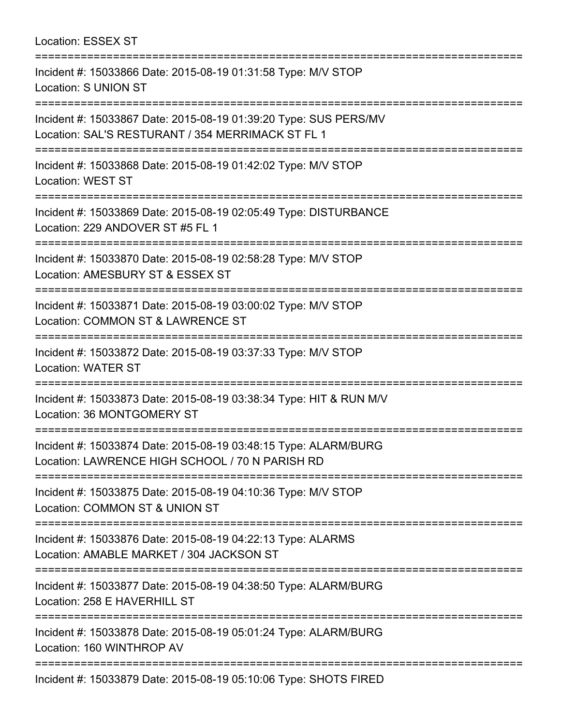Location: ESSEX ST =========================================================================== Incident #: 15033866 Date: 2015-08-19 01:31:58 Type: M/V STOP Location: S UNION ST =========================================================================== Incident #: 15033867 Date: 2015-08-19 01:39:20 Type: SUS PERS/MV Location: SAL'S RESTURANT / 354 MERRIMACK ST FL 1 =========================================================================== Incident #: 15033868 Date: 2015-08-19 01:42:02 Type: M/V STOP Location: WEST ST =========================================================================== Incident #: 15033869 Date: 2015-08-19 02:05:49 Type: DISTURBANCE Location: 229 ANDOVER ST #5 FL 1 =========================================================================== Incident #: 15033870 Date: 2015-08-19 02:58:28 Type: M/V STOP Location: AMESBURY ST & ESSEX ST =========================================================================== Incident #: 15033871 Date: 2015-08-19 03:00:02 Type: M/V STOP Location: COMMON ST & LAWRENCE ST =========================================================================== Incident #: 15033872 Date: 2015-08-19 03:37:33 Type: M/V STOP Location: WATER ST =========================================================================== Incident #: 15033873 Date: 2015-08-19 03:38:34 Type: HIT & RUN M/V Location: 36 MONTGOMERY ST =========================================================================== Incident #: 15033874 Date: 2015-08-19 03:48:15 Type: ALARM/BURG Location: LAWRENCE HIGH SCHOOL / 70 N PARISH RD =========================================================================== Incident #: 15033875 Date: 2015-08-19 04:10:36 Type: M/V STOP Location: COMMON ST & UNION ST =========================================================================== Incident #: 15033876 Date: 2015-08-19 04:22:13 Type: ALARMS Location: AMABLE MARKET / 304 JACKSON ST =========================================================================== Incident #: 15033877 Date: 2015-08-19 04:38:50 Type: ALARM/BURG Location: 258 E HAVERHILL ST =========================================================================== Incident #: 15033878 Date: 2015-08-19 05:01:24 Type: ALARM/BURG Location: 160 WINTHROP AV =========================================================================== Incident #: 15033879 Date: 2015-08-19 05:10:06 Type: SHOTS FIRED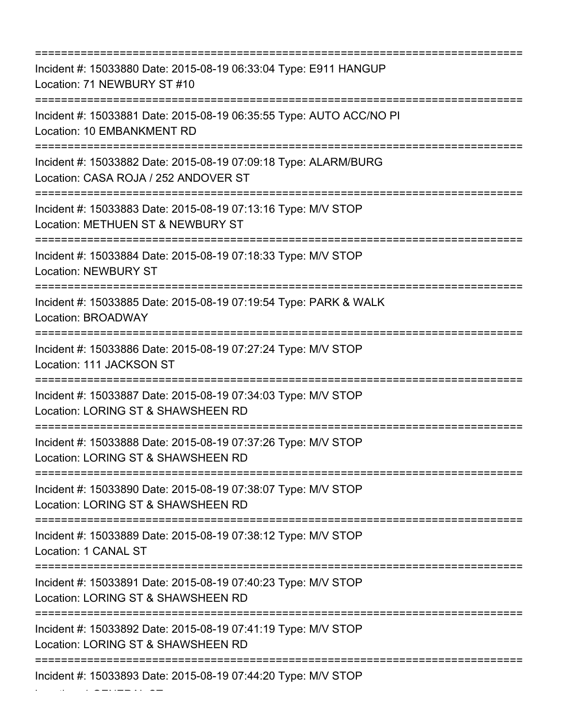=========================================================================== Incident #: 15033880 Date: 2015-08-19 06:33:04 Type: E911 HANGUP Location: 71 NEWBURY ST #10 =========================================================================== Incident #: 15033881 Date: 2015-08-19 06:35:55 Type: AUTO ACC/NO PI Location: 10 EMBANKMENT RD =========================================================================== Incident #: 15033882 Date: 2015-08-19 07:09:18 Type: ALARM/BURG Location: CASA ROJA / 252 ANDOVER ST =========================================================================== Incident #: 15033883 Date: 2015-08-19 07:13:16 Type: M/V STOP Location: METHUEN ST & NEWBURY ST =========================================================================== Incident #: 15033884 Date: 2015-08-19 07:18:33 Type: M/V STOP Location: NEWBURY ST =========================================================================== Incident #: 15033885 Date: 2015-08-19 07:19:54 Type: PARK & WALK Location: BROADWAY =========================================================================== Incident #: 15033886 Date: 2015-08-19 07:27:24 Type: M/V STOP Location: 111 JACKSON ST =========================================================================== Incident #: 15033887 Date: 2015-08-19 07:34:03 Type: M/V STOP Location: LORING ST & SHAWSHEEN RD =========================================================================== Incident #: 15033888 Date: 2015-08-19 07:37:26 Type: M/V STOP Location: LORING ST & SHAWSHEEN RD =========================================================================== Incident #: 15033890 Date: 2015-08-19 07:38:07 Type: M/V STOP Location: LORING ST & SHAWSHEEN RD =========================================================================== Incident #: 15033889 Date: 2015-08-19 07:38:12 Type: M/V STOP Location: 1 CANAL ST =========================================================================== Incident #: 15033891 Date: 2015-08-19 07:40:23 Type: M/V STOP Location: LORING ST & SHAWSHEEN RD =========================================================================== Incident #: 15033892 Date: 2015-08-19 07:41:19 Type: M/V STOP Location: LORING ST & SHAWSHEEN RD =========================================================================== Incident #: 15033893 Date: 2015-08-19 07:44:20 Type: M/V STOP

Location: 1 GENERAL ST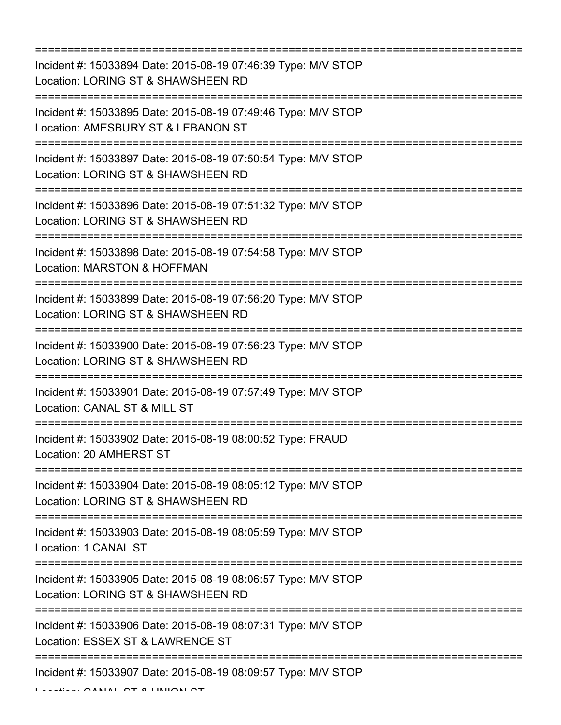=========================================================================== Incident #: 15033894 Date: 2015-08-19 07:46:39 Type: M/V STOP Location: LORING ST & SHAWSHEEN RD =========================================================================== Incident #: 15033895 Date: 2015-08-19 07:49:46 Type: M/V STOP Location: AMESBURY ST & LEBANON ST =========================================================================== Incident #: 15033897 Date: 2015-08-19 07:50:54 Type: M/V STOP Location: LORING ST & SHAWSHEEN RD =========================================================================== Incident #: 15033896 Date: 2015-08-19 07:51:32 Type: M/V STOP Location: LORING ST & SHAWSHEEN RD =========================================================================== Incident #: 15033898 Date: 2015-08-19 07:54:58 Type: M/V STOP Location: MARSTON & HOFFMAN =========================================================================== Incident #: 15033899 Date: 2015-08-19 07:56:20 Type: M/V STOP Location: LORING ST & SHAWSHEEN RD =========================================================================== Incident #: 15033900 Date: 2015-08-19 07:56:23 Type: M/V STOP Location: LORING ST & SHAWSHEEN RD =========================================================================== Incident #: 15033901 Date: 2015-08-19 07:57:49 Type: M/V STOP Location: CANAL ST & MILL ST =========================================================================== Incident #: 15033902 Date: 2015-08-19 08:00:52 Type: FRAUD Location: 20 AMHERST ST =========================================================================== Incident #: 15033904 Date: 2015-08-19 08:05:12 Type: M/V STOP Location: LORING ST & SHAWSHEEN RD =========================================================================== Incident #: 15033903 Date: 2015-08-19 08:05:59 Type: M/V STOP Location: 1 CANAL ST =========================================================================== Incident #: 15033905 Date: 2015-08-19 08:06:57 Type: M/V STOP Location: LORING ST & SHAWSHEEN RD =========================================================================== Incident #: 15033906 Date: 2015-08-19 08:07:31 Type: M/V STOP Location: ESSEX ST & LAWRENCE ST =========================================================================== Incident #: 15033907 Date: 2015-08-19 08:09:57 Type: M/V STOP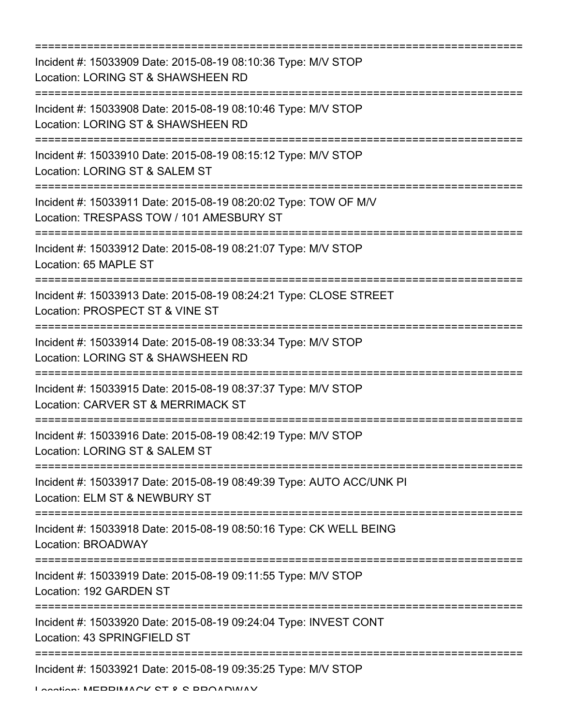=========================================================================== Incident #: 15033909 Date: 2015-08-19 08:10:36 Type: M/V STOP Location: LORING ST & SHAWSHEEN RD =========================================================================== Incident #: 15033908 Date: 2015-08-19 08:10:46 Type: M/V STOP Location: LORING ST & SHAWSHEEN RD =========================================================================== Incident #: 15033910 Date: 2015-08-19 08:15:12 Type: M/V STOP Location: LORING ST & SALEM ST =========================================================================== Incident #: 15033911 Date: 2015-08-19 08:20:02 Type: TOW OF M/V Location: TRESPASS TOW / 101 AMESBURY ST =========================================================================== Incident #: 15033912 Date: 2015-08-19 08:21:07 Type: M/V STOP Location: 65 MAPLE ST =========================================================================== Incident #: 15033913 Date: 2015-08-19 08:24:21 Type: CLOSE STREET Location: PROSPECT ST & VINE ST =========================================================================== Incident #: 15033914 Date: 2015-08-19 08:33:34 Type: M/V STOP Location: LORING ST & SHAWSHEEN RD =========================================================================== Incident #: 15033915 Date: 2015-08-19 08:37:37 Type: M/V STOP Location: CARVER ST & MERRIMACK ST =========================================================================== Incident #: 15033916 Date: 2015-08-19 08:42:19 Type: M/V STOP Location: LORING ST & SALEM ST =========================================================================== Incident #: 15033917 Date: 2015-08-19 08:49:39 Type: AUTO ACC/UNK PI Location: ELM ST & NEWBURY ST =========================================================================== Incident #: 15033918 Date: 2015-08-19 08:50:16 Type: CK WELL BEING Location: BROADWAY =========================================================================== Incident #: 15033919 Date: 2015-08-19 09:11:55 Type: M/V STOP Location: 192 GARDEN ST =========================================================================== Incident #: 15033920 Date: 2015-08-19 09:24:04 Type: INVEST CONT Location: 43 SPRINGFIELD ST =========================================================================== Incident #: 15033921 Date: 2015-08-19 09:35:25 Type: M/V STOP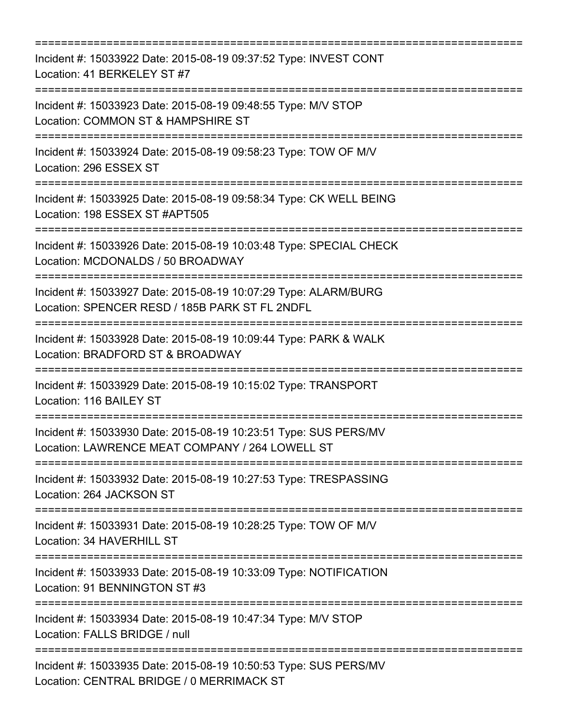| Incident #: 15033922 Date: 2015-08-19 09:37:52 Type: INVEST CONT<br>Location: 41 BERKELEY ST #7                                             |
|---------------------------------------------------------------------------------------------------------------------------------------------|
| Incident #: 15033923 Date: 2015-08-19 09:48:55 Type: M/V STOP<br>Location: COMMON ST & HAMPSHIRE ST                                         |
| Incident #: 15033924 Date: 2015-08-19 09:58:23 Type: TOW OF M/V<br>Location: 296 ESSEX ST                                                   |
| Incident #: 15033925 Date: 2015-08-19 09:58:34 Type: CK WELL BEING<br>Location: 198 ESSEX ST #APT505<br>===============                     |
| Incident #: 15033926 Date: 2015-08-19 10:03:48 Type: SPECIAL CHECK<br>Location: MCDONALDS / 50 BROADWAY                                     |
| Incident #: 15033927 Date: 2015-08-19 10:07:29 Type: ALARM/BURG<br>Location: SPENCER RESD / 185B PARK ST FL 2NDFL                           |
| Incident #: 15033928 Date: 2015-08-19 10:09:44 Type: PARK & WALK<br>Location: BRADFORD ST & BROADWAY                                        |
| Incident #: 15033929 Date: 2015-08-19 10:15:02 Type: TRANSPORT<br>Location: 116 BAILEY ST                                                   |
| Incident #: 15033930 Date: 2015-08-19 10:23:51 Type: SUS PERS/MV<br>Location: LAWRENCE MEAT COMPANY / 264 LOWELL ST                         |
| Incident #: 15033932 Date: 2015-08-19 10:27:53 Type: TRESPASSING<br>Location: 264 JACKSON ST                                                |
| Incident #: 15033931 Date: 2015-08-19 10:28:25 Type: TOW OF M/V<br>Location: 34 HAVERHILL ST                                                |
| Incident #: 15033933 Date: 2015-08-19 10:33:09 Type: NOTIFICATION<br>Location: 91 BENNINGTON ST #3                                          |
| Incident #: 15033934 Date: 2015-08-19 10:47:34 Type: M/V STOP<br>Location: FALLS BRIDGE / null                                              |
| ==========================<br>Incident #: 15033935 Date: 2015-08-19 10:50:53 Type: SUS PERS/MV<br>Location: CENTRAL BRIDGE / 0 MERRIMACK ST |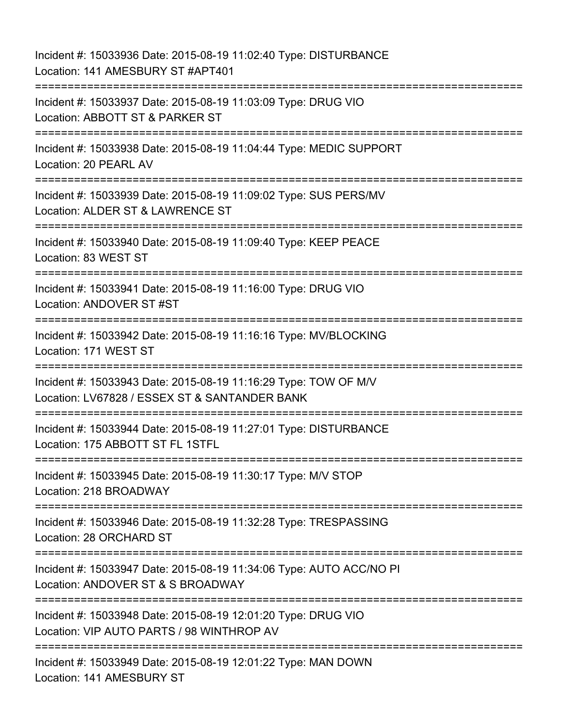Incident #: 15033936 Date: 2015-08-19 11:02:40 Type: DISTURBANCE Location: 141 AMESBURY ST #APT401 =========================================================================== Incident #: 15033937 Date: 2015-08-19 11:03:09 Type: DRUG VIO Location: ABBOTT ST & PARKER ST =========================================================================== Incident #: 15033938 Date: 2015-08-19 11:04:44 Type: MEDIC SUPPORT Location: 20 PEARL AV =========================================================================== Incident #: 15033939 Date: 2015-08-19 11:09:02 Type: SUS PERS/MV Location: ALDER ST & LAWRENCE ST =========================================================================== Incident #: 15033940 Date: 2015-08-19 11:09:40 Type: KEEP PEACE Location: 83 WEST ST =========================================================================== Incident #: 15033941 Date: 2015-08-19 11:16:00 Type: DRUG VIO Location: ANDOVER ST #ST =========================================================================== Incident #: 15033942 Date: 2015-08-19 11:16:16 Type: MV/BLOCKING Location: 171 WEST ST =========================================================================== Incident #: 15033943 Date: 2015-08-19 11:16:29 Type: TOW OF M/V Location: LV67828 / ESSEX ST & SANTANDER BANK =========================================================================== Incident #: 15033944 Date: 2015-08-19 11:27:01 Type: DISTURBANCE Location: 175 ABBOTT ST FL 1STFL =========================================================================== Incident #: 15033945 Date: 2015-08-19 11:30:17 Type: M/V STOP Location: 218 BROADWAY =========================================================================== Incident #: 15033946 Date: 2015-08-19 11:32:28 Type: TRESPASSING Location: 28 ORCHARD ST =========================================================================== Incident #: 15033947 Date: 2015-08-19 11:34:06 Type: AUTO ACC/NO PI Location: ANDOVER ST & S BROADWAY =========================================================================== Incident #: 15033948 Date: 2015-08-19 12:01:20 Type: DRUG VIO Location: VIP AUTO PARTS / 98 WINTHROP AV =========================================================================== Incident #: 15033949 Date: 2015-08-19 12:01:22 Type: MAN DOWN Location: 141 AMESBURY ST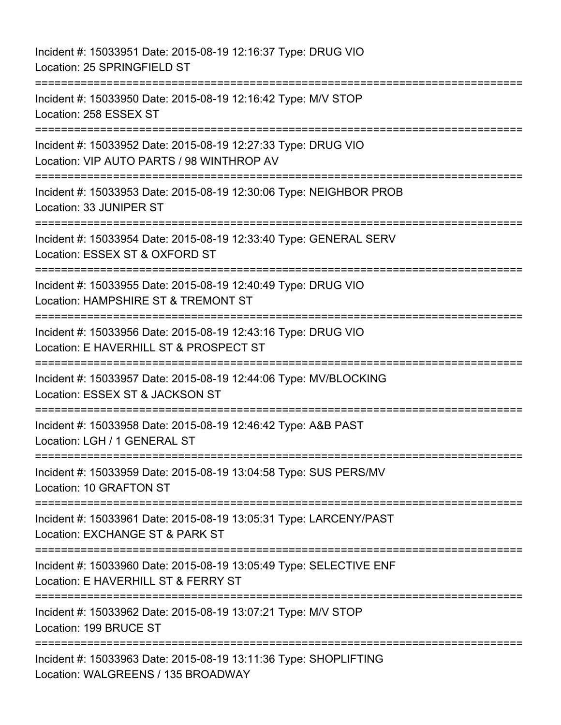Incident #: 15033951 Date: 2015-08-19 12:16:37 Type: DRUG VIO Location: 25 SPRINGFIELD ST =========================================================================== Incident #: 15033950 Date: 2015-08-19 12:16:42 Type: M/V STOP Location: 258 ESSEX ST =========================================================================== Incident #: 15033952 Date: 2015-08-19 12:27:33 Type: DRUG VIO Location: VIP AUTO PARTS / 98 WINTHROP AV =========================================================================== Incident #: 15033953 Date: 2015-08-19 12:30:06 Type: NEIGHBOR PROB Location: 33 JUNIPER ST =========================================================================== Incident #: 15033954 Date: 2015-08-19 12:33:40 Type: GENERAL SERV Location: ESSEX ST & OXFORD ST =========================================================================== Incident #: 15033955 Date: 2015-08-19 12:40:49 Type: DRUG VIO Location: HAMPSHIRE ST & TREMONT ST =========================================================================== Incident #: 15033956 Date: 2015-08-19 12:43:16 Type: DRUG VIO Location: E HAVERHILL ST & PROSPECT ST =========================================================================== Incident #: 15033957 Date: 2015-08-19 12:44:06 Type: MV/BLOCKING Location: ESSEX ST & JACKSON ST ============================= Incident #: 15033958 Date: 2015-08-19 12:46:42 Type: A&B PAST Location: LGH / 1 GENERAL ST =========================================================================== Incident #: 15033959 Date: 2015-08-19 13:04:58 Type: SUS PERS/MV Location: 10 GRAFTON ST =========================================================================== Incident #: 15033961 Date: 2015-08-19 13:05:31 Type: LARCENY/PAST Location: EXCHANGE ST & PARK ST =========================================================================== Incident #: 15033960 Date: 2015-08-19 13:05:49 Type: SELECTIVE ENF Location: E HAVERHILL ST & FERRY ST =========================================================================== Incident #: 15033962 Date: 2015-08-19 13:07:21 Type: M/V STOP Location: 199 BRUCE ST =========================================================================== Incident #: 15033963 Date: 2015-08-19 13:11:36 Type: SHOPLIFTING Location: WALGREENS / 135 BROADWAY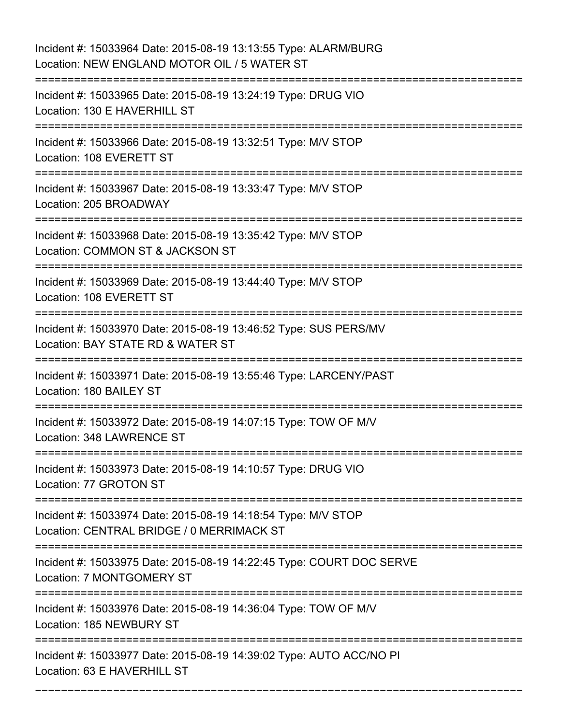| Incident #: 15033964 Date: 2015-08-19 13:13:55 Type: ALARM/BURG<br>Location: NEW ENGLAND MOTOR OIL / 5 WATER ST            |
|----------------------------------------------------------------------------------------------------------------------------|
| ================<br>Incident #: 15033965 Date: 2015-08-19 13:24:19 Type: DRUG VIO<br>Location: 130 E HAVERHILL ST          |
| Incident #: 15033966 Date: 2015-08-19 13:32:51 Type: M/V STOP<br>Location: 108 EVERETT ST<br>============================= |
| Incident #: 15033967 Date: 2015-08-19 13:33:47 Type: M/V STOP<br>Location: 205 BROADWAY                                    |
| Incident #: 15033968 Date: 2015-08-19 13:35:42 Type: M/V STOP<br>Location: COMMON ST & JACKSON ST                          |
| Incident #: 15033969 Date: 2015-08-19 13:44:40 Type: M/V STOP<br>Location: 108 EVERETT ST                                  |
| Incident #: 15033970 Date: 2015-08-19 13:46:52 Type: SUS PERS/MV<br>Location: BAY STATE RD & WATER ST                      |
| Incident #: 15033971 Date: 2015-08-19 13:55:46 Type: LARCENY/PAST<br>Location: 180 BAILEY ST                               |
| Incident #: 15033972 Date: 2015-08-19 14:07:15 Type: TOW OF M/V<br>Location: 348 LAWRENCE ST                               |
| Incident #: 15033973 Date: 2015-08-19 14:10:57 Type: DRUG VIO<br>Location: 77 GROTON ST                                    |
| Incident #: 15033974 Date: 2015-08-19 14:18:54 Type: M/V STOP<br>Location: CENTRAL BRIDGE / 0 MERRIMACK ST                 |
| Incident #: 15033975 Date: 2015-08-19 14:22:45 Type: COURT DOC SERVE<br>Location: 7 MONTGOMERY ST                          |
| Incident #: 15033976 Date: 2015-08-19 14:36:04 Type: TOW OF M/V<br>Location: 185 NEWBURY ST                                |
| Incident #: 15033977 Date: 2015-08-19 14:39:02 Type: AUTO ACC/NO PI<br>Location: 63 E HAVERHILL ST                         |

===========================================================================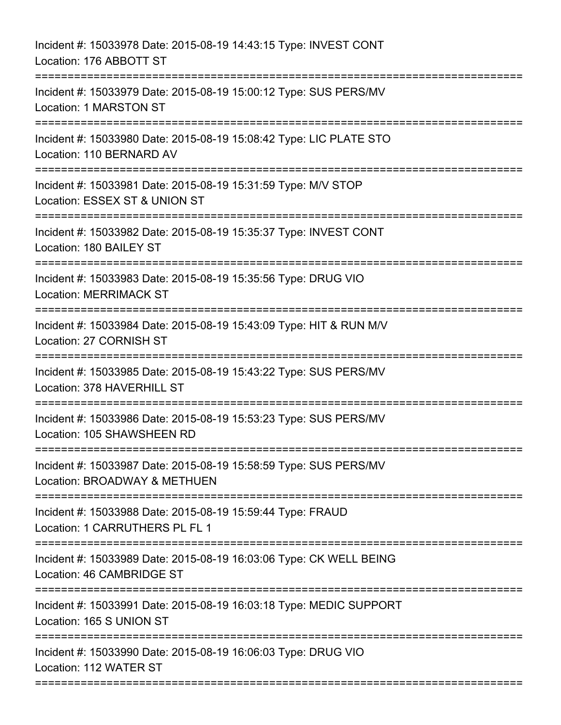| Incident #: 15033978 Date: 2015-08-19 14:43:15 Type: INVEST CONT<br>Location: 176 ABBOTT ST                                             |
|-----------------------------------------------------------------------------------------------------------------------------------------|
| Incident #: 15033979 Date: 2015-08-19 15:00:12 Type: SUS PERS/MV<br>Location: 1 MARSTON ST                                              |
| Incident #: 15033980 Date: 2015-08-19 15:08:42 Type: LIC PLATE STO<br>Location: 110 BERNARD AV                                          |
| Incident #: 15033981 Date: 2015-08-19 15:31:59 Type: M/V STOP<br>Location: ESSEX ST & UNION ST<br>:==================================== |
| Incident #: 15033982 Date: 2015-08-19 15:35:37 Type: INVEST CONT<br>Location: 180 BAILEY ST                                             |
| Incident #: 15033983 Date: 2015-08-19 15:35:56 Type: DRUG VIO<br><b>Location: MERRIMACK ST</b>                                          |
| Incident #: 15033984 Date: 2015-08-19 15:43:09 Type: HIT & RUN M/V<br>Location: 27 CORNISH ST                                           |
| Incident #: 15033985 Date: 2015-08-19 15:43:22 Type: SUS PERS/MV<br>Location: 378 HAVERHILL ST<br>:================================     |
| Incident #: 15033986 Date: 2015-08-19 15:53:23 Type: SUS PERS/MV<br>Location: 105 SHAWSHEEN RD                                          |
| Incident #: 15033987 Date: 2015-08-19 15:58:59 Type: SUS PERS/MV<br>Location: BROADWAY & METHUEN                                        |
| Incident #: 15033988 Date: 2015-08-19 15:59:44 Type: FRAUD<br>Location: 1 CARRUTHERS PL FL 1                                            |
| Incident #: 15033989 Date: 2015-08-19 16:03:06 Type: CK WELL BEING<br>Location: 46 CAMBRIDGE ST                                         |
| Incident #: 15033991 Date: 2015-08-19 16:03:18 Type: MEDIC SUPPORT<br>Location: 165 S UNION ST                                          |
| Incident #: 15033990 Date: 2015-08-19 16:06:03 Type: DRUG VIO<br>Location: 112 WATER ST                                                 |
|                                                                                                                                         |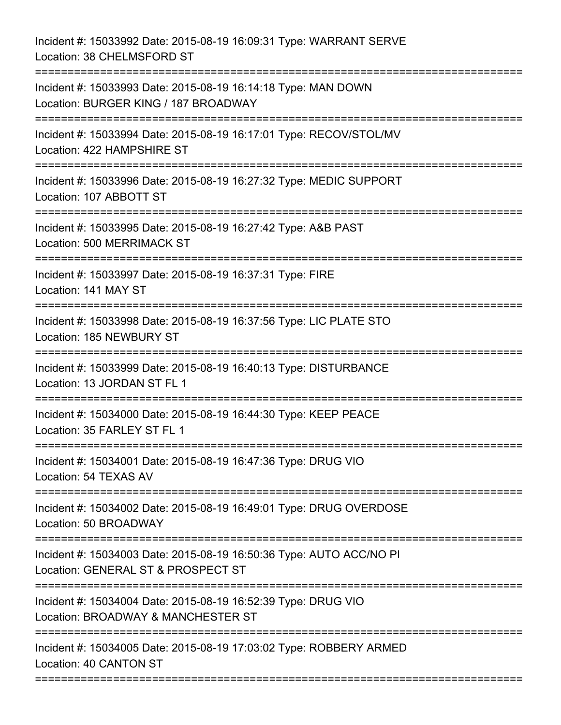| Incident #: 15033992 Date: 2015-08-19 16:09:31 Type: WARRANT SERVE<br>Location: 38 CHELMSFORD ST                                         |
|------------------------------------------------------------------------------------------------------------------------------------------|
| Incident #: 15033993 Date: 2015-08-19 16:14:18 Type: MAN DOWN<br>Location: BURGER KING / 187 BROADWAY<br>------------------------------- |
| Incident #: 15033994 Date: 2015-08-19 16:17:01 Type: RECOV/STOL/MV<br>Location: 422 HAMPSHIRE ST<br>:=============================       |
| Incident #: 15033996 Date: 2015-08-19 16:27:32 Type: MEDIC SUPPORT<br>Location: 107 ABBOTT ST                                            |
| Incident #: 15033995 Date: 2015-08-19 16:27:42 Type: A&B PAST<br>Location: 500 MERRIMACK ST                                              |
| Incident #: 15033997 Date: 2015-08-19 16:37:31 Type: FIRE<br>Location: 141 MAY ST                                                        |
| Incident #: 15033998 Date: 2015-08-19 16:37:56 Type: LIC PLATE STO<br>Location: 185 NEWBURY ST                                           |
| Incident #: 15033999 Date: 2015-08-19 16:40:13 Type: DISTURBANCE<br>Location: 13 JORDAN ST FL 1                                          |
| Incident #: 15034000 Date: 2015-08-19 16:44:30 Type: KEEP PEACE<br>Location: 35 FARLEY ST FL 1                                           |
| Incident #: 15034001 Date: 2015-08-19 16:47:36 Type: DRUG VIO<br>Location: 54 TEXAS AV                                                   |
| Incident #: 15034002 Date: 2015-08-19 16:49:01 Type: DRUG OVERDOSE<br>Location: 50 BROADWAY                                              |
| Incident #: 15034003 Date: 2015-08-19 16:50:36 Type: AUTO ACC/NO PI<br>Location: GENERAL ST & PROSPECT ST                                |
| Incident #: 15034004 Date: 2015-08-19 16:52:39 Type: DRUG VIO<br>Location: BROADWAY & MANCHESTER ST                                      |
| Incident #: 15034005 Date: 2015-08-19 17:03:02 Type: ROBBERY ARMED<br>Location: 40 CANTON ST                                             |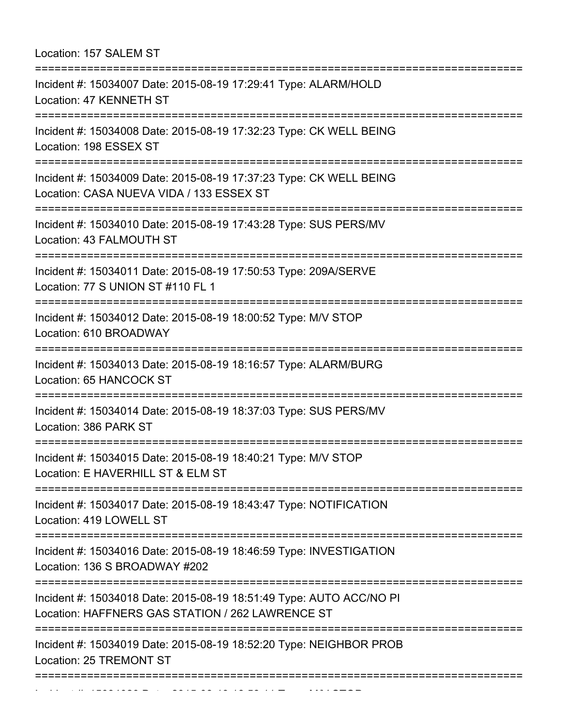Location: 157 SALEM ST

| Incident #: 15034019 Date: 2015-08-19 18:52:20 Type: NEIGHBOR PROB<br>Location: 25 TREMONT ST                                   |  |
|---------------------------------------------------------------------------------------------------------------------------------|--|
| Incident #: 15034018 Date: 2015-08-19 18:51:49 Type: AUTO ACC/NO PI<br>Location: HAFFNERS GAS STATION / 262 LAWRENCE ST         |  |
| Incident #: 15034016 Date: 2015-08-19 18:46:59 Type: INVESTIGATION<br>Location: 136 S BROADWAY #202                             |  |
| Incident #: 15034017 Date: 2015-08-19 18:43:47 Type: NOTIFICATION<br>Location: 419 LOWELL ST                                    |  |
| Incident #: 15034015 Date: 2015-08-19 18:40:21 Type: M/V STOP<br>Location: E HAVERHILL ST & ELM ST                              |  |
| Incident #: 15034014 Date: 2015-08-19 18:37:03 Type: SUS PERS/MV<br>Location: 386 PARK ST                                       |  |
| Incident #: 15034013 Date: 2015-08-19 18:16:57 Type: ALARM/BURG<br>Location: 65 HANCOCK ST<br>===================               |  |
| Incident #: 15034012 Date: 2015-08-19 18:00:52 Type: M/V STOP<br>Location: 610 BROADWAY                                         |  |
| Incident #: 15034011 Date: 2015-08-19 17:50:53 Type: 209A/SERVE<br>Location: 77 S UNION ST #110 FL 1<br>======================= |  |
| Incident #: 15034010 Date: 2015-08-19 17:43:28 Type: SUS PERS/MV<br>Location: 43 FALMOUTH ST                                    |  |
| Incident #: 15034009 Date: 2015-08-19 17:37:23 Type: CK WELL BEING<br>Location: CASA NUEVA VIDA / 133 ESSEX ST                  |  |
| Incident #: 15034008 Date: 2015-08-19 17:32:23 Type: CK WELL BEING<br>Location: 198 ESSEX ST                                    |  |
| Incident #: 15034007 Date: 2015-08-19 17:29:41 Type: ALARM/HOLD<br>Location: 47 KENNETH ST                                      |  |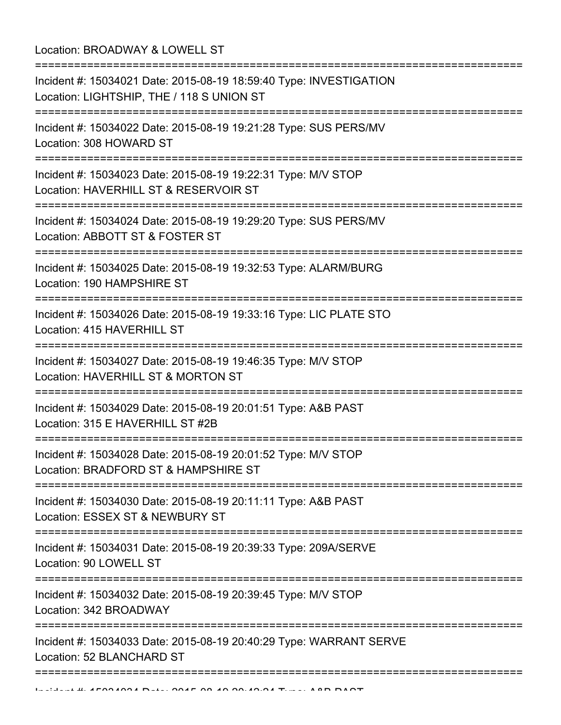| Location: BROADWAY & LOWELL ST<br>========================                                                                              |
|-----------------------------------------------------------------------------------------------------------------------------------------|
| Incident #: 15034021 Date: 2015-08-19 18:59:40 Type: INVESTIGATION<br>Location: LIGHTSHIP, THE / 118 S UNION ST                         |
| Incident #: 15034022 Date: 2015-08-19 19:21:28 Type: SUS PERS/MV<br>Location: 308 HOWARD ST                                             |
| Incident #: 15034023 Date: 2015-08-19 19:22:31 Type: M/V STOP<br>Location: HAVERHILL ST & RESERVOIR ST<br>:============================ |
| Incident #: 15034024 Date: 2015-08-19 19:29:20 Type: SUS PERS/MV<br>Location: ABBOTT ST & FOSTER ST                                     |
| :===============<br>Incident #: 15034025 Date: 2015-08-19 19:32:53 Type: ALARM/BURG<br>Location: 190 HAMPSHIRE ST                       |
| Incident #: 15034026 Date: 2015-08-19 19:33:16 Type: LIC PLATE STO<br>Location: 415 HAVERHILL ST                                        |
| :=================<br>Incident #: 15034027 Date: 2015-08-19 19:46:35 Type: M/V STOP<br>Location: HAVERHILL ST & MORTON ST               |
| Incident #: 15034029 Date: 2015-08-19 20:01:51 Type: A&B PAST<br>Location: 315 E HAVERHILL ST #2B                                       |
| Incident #: 15034028 Date: 2015-08-19 20:01:52 Type: M/V STOP<br>Location: BRADFORD ST & HAMPSHIRE ST                                   |
| Incident #: 15034030 Date: 2015-08-19 20:11:11 Type: A&B PAST<br>Location: ESSEX ST & NEWBURY ST                                        |
| Incident #: 15034031 Date: 2015-08-19 20:39:33 Type: 209A/SERVE<br>Location: 90 LOWELL ST                                               |
| Incident #: 15034032 Date: 2015-08-19 20:39:45 Type: M/V STOP<br>Location: 342 BROADWAY                                                 |
| Incident #: 15034033 Date: 2015-08-19 20:40:29 Type: WARRANT SERVE<br>Location: 52 BLANCHARD ST                                         |
| <b>ILLILLI AFOO AOO A BLEL OO AF OO AO OO AOO A TULL A OB BAOT</b>                                                                      |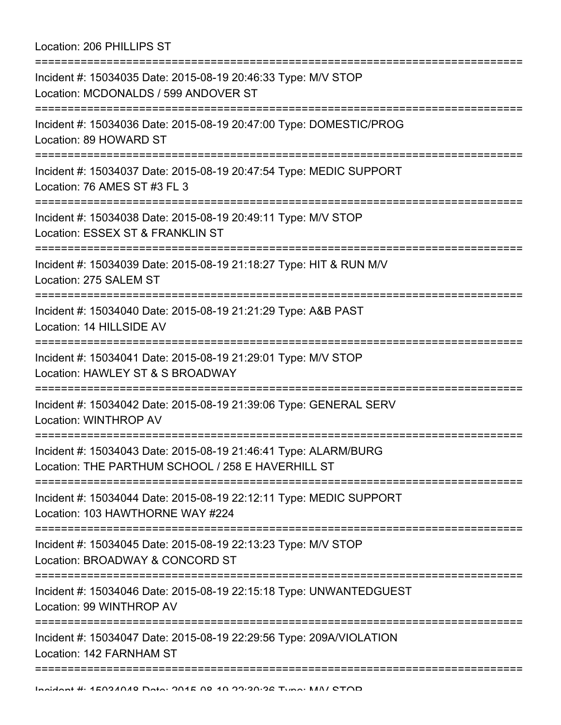Location: 206 PHILLIPS ST

=========================================================================== Incident #: 15034035 Date: 2015-08-19 20:46:33 Type: M/V STOP Location: MCDONALDS / 599 ANDOVER ST =========================================================================== Incident #: 15034036 Date: 2015-08-19 20:47:00 Type: DOMESTIC/PROG Location: 89 HOWARD ST =========================================================================== Incident #: 15034037 Date: 2015-08-19 20:47:54 Type: MEDIC SUPPORT Location: 76 AMES ST #3 FL 3 =========================================================================== Incident #: 15034038 Date: 2015-08-19 20:49:11 Type: M/V STOP Location: ESSEX ST & FRANKLIN ST =========================================================================== Incident #: 15034039 Date: 2015-08-19 21:18:27 Type: HIT & RUN M/V Location: 275 SALEM ST =========================================================================== Incident #: 15034040 Date: 2015-08-19 21:21:29 Type: A&B PAST Location: 14 HILLSIDE AV =========================================================================== Incident #: 15034041 Date: 2015-08-19 21:29:01 Type: M/V STOP Location: HAWLEY ST & S BROADWAY =========================================================================== Incident #: 15034042 Date: 2015-08-19 21:39:06 Type: GENERAL SERV Location: WINTHROP AV =========================================================================== Incident #: 15034043 Date: 2015-08-19 21:46:41 Type: ALARM/BURG Location: THE PARTHUM SCHOOL / 258 E HAVERHILL ST =========================================================================== Incident #: 15034044 Date: 2015-08-19 22:12:11 Type: MEDIC SUPPORT Location: 103 HAWTHORNE WAY #224 =========================================================================== Incident #: 15034045 Date: 2015-08-19 22:13:23 Type: M/V STOP Location: BROADWAY & CONCORD ST =========================================================================== Incident #: 15034046 Date: 2015-08-19 22:15:18 Type: UNWANTEDGUEST Location: 99 WINTHROP AV =========================================================================== Incident #: 15034047 Date: 2015-08-19 22:29:56 Type: 209A/VIOLATION Location: 142 FARNHAM ST ===========================================================================